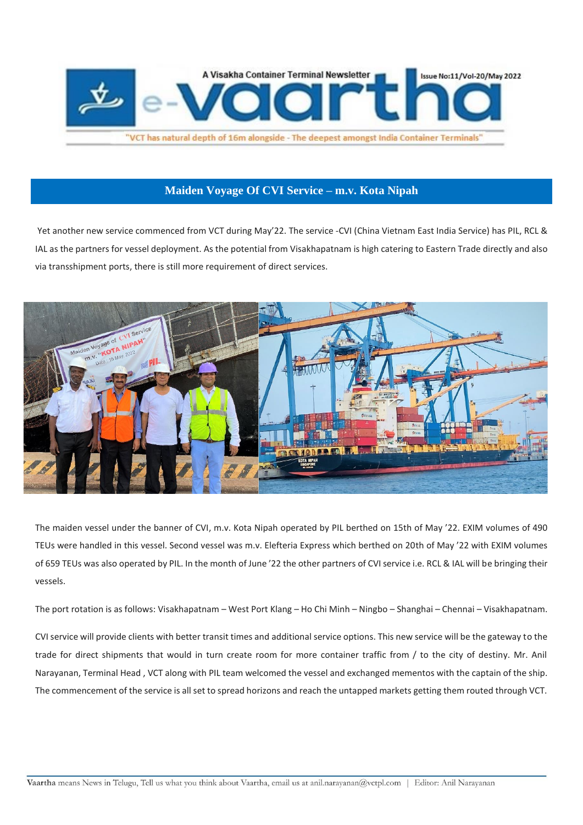

# **Maiden Voyage Of CVI Service – m.v. Kota Nipah**

Yet another new service commenced from VCT during May'22. The service -CVI (China Vietnam East India Service) has PIL, RCL & IAL as the partners for vessel deployment. As the potential from Visakhapatnam is high catering to Eastern Trade directly and also via transshipment ports, there is still more requirement of direct services.



The maiden vessel under the banner of CVI, m.v. Kota Nipah operated by PIL berthed on 15th of May '22. EXIM volumes of 490 TEUs were handled in this vessel. Second vessel was m.v. Elefteria Express which berthed on 20th of May '22 with EXIM volumes of 659 TEUs was also operated by PIL. In the month of June '22 the other partners of CVI service i.e. RCL & IAL will be bringing their vessels.

The port rotation is as follows: Visakhapatnam – West Port Klang – Ho Chi Minh – Ningbo – Shanghai – Chennai – Visakhapatnam.

CVI service will provide clients with better transit times and additional service options. This new service will be the gateway to the trade for direct shipments that would in turn create room for more container traffic from / to the city of destiny. Mr. Anil Narayanan, Terminal Head , VCT along with PIL team welcomed the vessel and exchanged mementos with the captain of the ship. The commencement of the service is all set to spread horizons and reach the untapped markets getting them routed through VCT.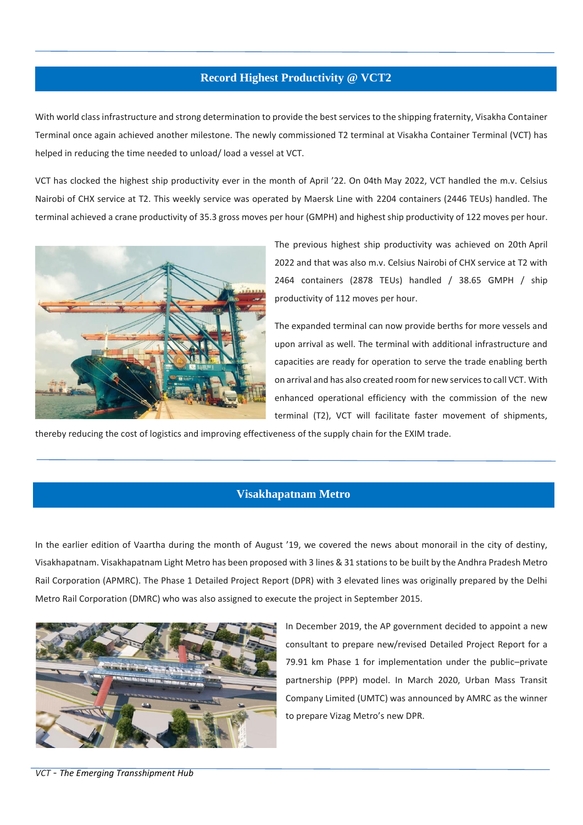## **Record Highest Productivity @ VCT2**

With world class infrastructure and strong determination to provide the best services to the shipping fraternity, Visakha Container Terminal once again achieved another milestone. The newly commissioned T2 terminal at Visakha Container Terminal (VCT) has helped in reducing the time needed to unload/ load a vessel at VCT.

VCT has clocked the highest ship productivity ever in the month of April '22. On 04th May 2022, VCT handled the m.v. Celsius Nairobi of CHX service at T2. This weekly service was operated by Maersk Line with 2204 containers (2446 TEUs) handled. The terminal achieved a crane productivity of 35.3 gross moves per hour (GMPH) and highest ship productivity of 122 moves per hour.



The previous highest ship productivity was achieved on 20th April 2022 and that was also m.v. Celsius Nairobi of CHX service at T2 with 2464 containers (2878 TEUs) handled / 38.65 GMPH / ship productivity of 112 moves per hour.

The expanded terminal can now provide berths for more vessels and upon arrival as well. The terminal with additional infrastructure and capacities are ready for operation to serve the trade enabling berth on arrival and has also created room for new services to call VCT. With enhanced operational efficiency with the commission of the new terminal (T2), VCT will facilitate faster movement of shipments,

thereby reducing the cost of logistics and improving effectiveness of the supply chain for the EXIM trade.

## **Visakhapatnam Metro**

In the earlier edition of Vaartha during the month of August '19, we covered the news about monorail in the city of destiny, Visakhapatnam. Visakhapatnam Light Metro has been proposed with 3 lines & 31 stationsto be built by the Andhra Pradesh Metro Rail Corporation (APMRC). The Phase 1 Detailed Project Report (DPR) with 3 elevated lines was originally prepared by the Delhi Metro Rail Corporation (DMRC) who was also assigned to execute the project in September 2015.



In December 2019, the AP government decided to appoint a new consultant to prepare new/revised Detailed Project Report for a 79.91 km Phase 1 for implementation under the public–private partnership (PPP) model. In March 2020, Urban Mass Transit Company Limited (UMTC) was announced by AMRC as the winner to prepare Vizag Metro's new DPR.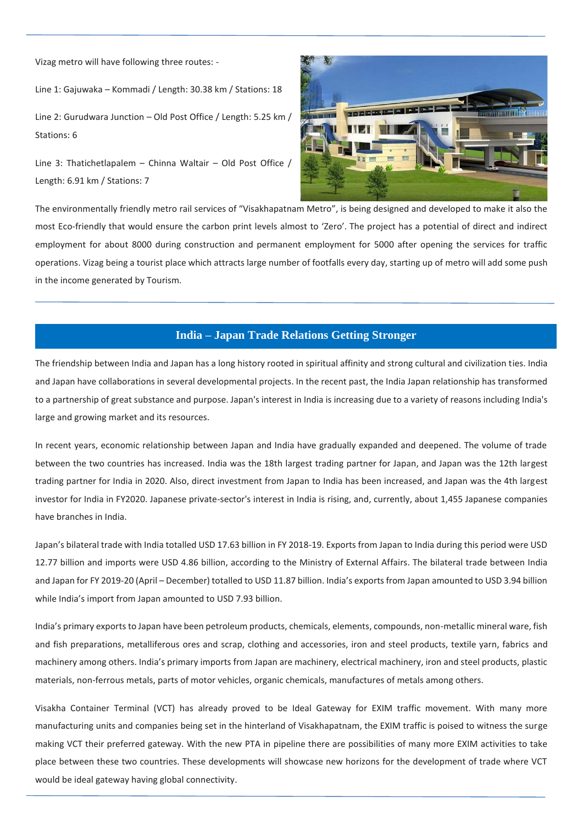Vizag metro will have following three routes: -

Line 1: Gajuwaka – Kommadi / Length: 30.38 km / Stations: 18

Line 2: Gurudwara Junction – Old Post Office / Length: 5.25 km / Stations: 6

Line 3: Thatichetlapalem – Chinna Waltair – Old Post Office / Length: 6.91 km / Stations: 7



The environmentally friendly metro rail services of "Visakhapatnam Metro", is being designed and developed to make it also the most Eco-friendly that would ensure the carbon print levels almost to 'Zero'. The project has a potential of direct and indirect employment for about 8000 during construction and permanent employment for 5000 after opening the services for traffic operations. Vizag being a tourist place which attracts large number of footfalls every day, starting up of metro will add some push in the income generated by Tourism.

#### **India – Japan Trade Relations Getting Stronger**

The friendship between India and Japan has a long history rooted in spiritual affinity and strong cultural and civilization ties. India and Japan have collaborations in several developmental projects. In the recent past, the India Japan relationship has transformed to a partnership of great substance and purpose. Japan's interest in India is increasing due to a variety of reasons including India's large and growing market and its resources.

In recent years, economic relationship between Japan and India have gradually expanded and deepened. The volume of trade between the two countries has increased. India was the 18th largest trading partner for Japan, and Japan was the 12th largest trading partner for India in 2020. Also, direct investment from Japan to India has been increased, and Japan was the 4th largest investor for India in FY2020. Japanese private-sector's interest in India is rising, and, currently, about 1,455 Japanese companies have branches in India.

Japan's bilateral trade with India totalled USD 17.63 billion in FY 2018-19. Exports from Japan to India during this period were USD 12.77 billion and imports were USD 4.86 billion, according to the Ministry of External Affairs. The bilateral trade between India and Japan for FY 2019-20 (April – December) totalled to USD 11.87 billion. India's exports from Japan amounted to USD 3.94 billion while India's import from Japan amounted to USD 7.93 billion.

India's primary exports to Japan have been petroleum products, chemicals, elements, compounds, non-metallic mineral ware, fish and fish preparations, metalliferous ores and scrap, clothing and accessories, iron and steel products, textile yarn, fabrics and machinery among others. India's primary imports from Japan are machinery, electrical machinery, iron and steel products, plastic materials, non-ferrous metals, parts of motor vehicles, organic chemicals, manufactures of metals among others.

Visakha Container Terminal (VCT) has already proved to be Ideal Gateway for EXIM traffic movement. With many more manufacturing units and companies being set in the hinterland of Visakhapatnam, the EXIM traffic is poised to witness the surge making VCT their preferred gateway. With the new PTA in pipeline there are possibilities of many more EXIM activities to take place between these two countries. These developments will showcase new horizons for the development of trade where VCT would be ideal gateway having global connectivity.